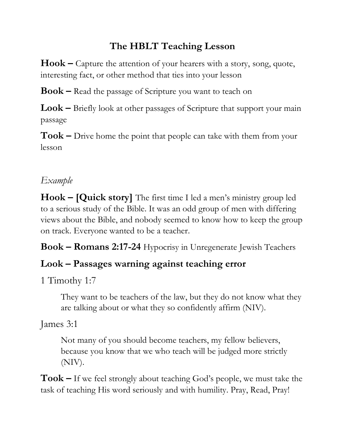# **The HBLT Teaching Lesson**

**Hook –** Capture the attention of your hearers with a story, song, quote, interesting fact, or other method that ties into your lesson

**Book –** Read the passage of Scripture you want to teach on

**Look –** Briefly look at other passages of Scripture that support your main passage

**Took –** Drive home the point that people can take with them from your lesson

#### *Example*

**Hook – [Quick story]** The first time I led a men's ministry group led to a serious study of the Bible. It was an odd group of men with differing views about the Bible, and nobody seemed to know how to keep the group on track. Everyone wanted to be a teacher.

**Book – Romans 2:17-24** Hypocrisy in Unregenerate Jewish Teachers

### **Look – Passages warning against teaching error**

1 Timothy 1:7

They want to be teachers of the law, but they do not know what they are talking about or what they so confidently affirm (NIV).

James 3:1

Not many of you should become teachers, my fellow believers, because you know that we who teach will be judged more strictly (NIV).

**Took –** If we feel strongly about teaching God's people, we must take the task of teaching His word seriously and with humility. Pray, Read, Pray!